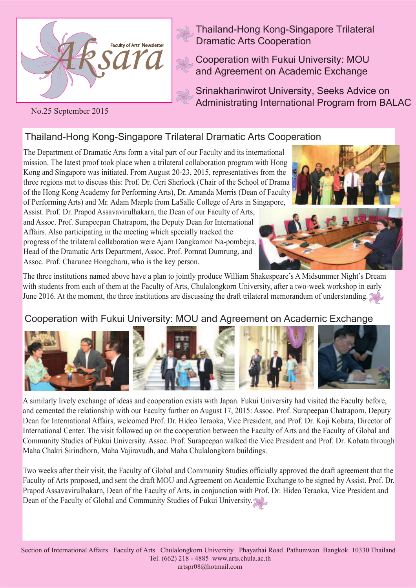

Thailand-Hong Kong-Singapore Trilateral Dramatic Arts Cooperation

Cooperation with Fukui University: MOU and Agreement on Academic Exchange

Srinakharinwirot University, Seeks Advice on Administrating International Program from BALAC

#### No.25 September 2015

# Thailand-Hong Kong-Singapore Trilateral Dramatic Arts Cooperation

The Department of Dramatic Arts form a vital part of our Faculty and its international mission. The latest proof took place when a trilateral collaboration program with Hong Kong and Singapore was initiated. From August 20-23, 2015, representatives from the three regions met to discuss this: Prof. Dr. Ceri Sherlock (Chair of the School of Drama of the Hong Kong Academy for Performing Arts), Dr. Amanda Morris (Dean of Faculty of Performing Arts) and Mr. Adam Marple from LaSalle College of Arts in Singapore,

Assist. Prof. Dr. Prapod Assavavirulhakarn, the Dean of our Faculty of Arts, and Assoc. Prof. Surapeepan Chatraporn, the Deputy Dean for International Affairs. Also participating in the meeting which specially tracked the progress of the trilateral collaboration were Ajarn Dangkamon Na-pombejra, Head of the Dramatic Arts Department, Assoc. Prof. Pornrat Dumrung, and Assoc. Prof. Charunee Hongcharu, who is the key person.





The three institutions named above have a plan to jointly produce William Shakespeare's A Midsummer Night's Dream with students from each of them at the Faculty of Arts, Chulalongkorn University, after a two-week workshop in early June 2016. At the moment, the three institutions are discussing the draft trilateral memorandum of understanding.

### Cooperation with Fukui University: MOU and Agreement on Academic Exchange



A similarly lively exchange of ideas and cooperation exists with Japan. Fukui University had visited the Faculty before, and cemented the relationship with our Faculty further on August 17, 2015: Assoc. Prof. Surapeepan Chatraporn, Deputy Dean for International Affairs, welcomed Prof. Dr. Hideo Teraoka, Vice President, and Prof. Dr. Koji Kobata, Director of International Center. The visit followed up on the cooperation between the Faculty of Arts and the Faculty of Global and Community Studies of Fukui University. Assoc. Prof. Surapeepan walked the Vice President and Prof. Dr. Kobata through Maha Chakri Sirindhorn, Maha Vajiravudh, and Maha Chulalongkorn buildings.

Two weeks after their visit, the Faculty of Global and Community Studies officially approved the draft agreement that the Faculty of Arts proposed, and sent the draft MOU and Agreement on Academic Exchange to be signed by Assist. Prof. Dr. Prapod Assavavirulhakarn, Dean of the Faculty of Arts, in conjunction with Prof. Dr. Hideo Teraoka, Vice President and Dean of the Faculty of Global and Community Studies of Fukui University.

Section of International Affairs Faculty of Arts Chulalongkorn University Phayathai Road Pathumwan Bangkok 10330 Thailand Tel. (662) 218 - 4885 www.arts.chula.ac.th artspr08@hotmail.com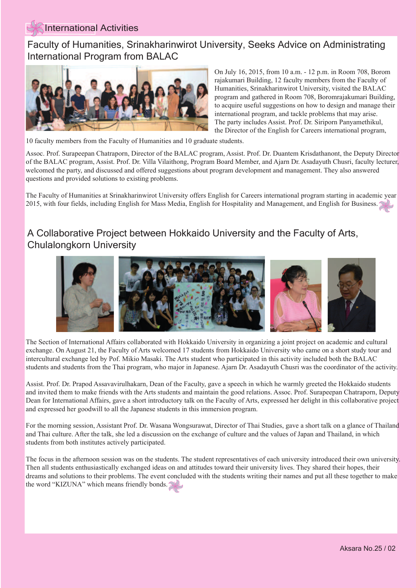#### International Activities

 Faculty of Humanities, Srinakharinwirot University, Seeks Advice on Administrating International Program from BALAC



On July 16, 2015, from 10 a.m. - 12 p.m. in Room 708, Borom rajakumari Building, 12 faculty members from the Faculty of Humanities, Srinakharinwirot University, visited the BALAC program and gathered in Room 708, Boromrajakumari Building, to acquire useful suggestions on how to design and manage their international program, and tackle problems that may arise. The party includes Assist. Prof. Dr. Siriporn Panyamethikul, the Director of the English for Careers international program,

10 faculty members from the Faculty of Humanities and 10 graduate students.

Assoc. Prof. Surapeepan Chatraporn, Director of the BALAC program, Assist. Prof. Dr. Duantem Krisdathanont, the Deputy Director of the BALAC program, Assist. Prof. Dr. Villa Vilaithong, Program Board Member, and Ajarn Dr. Asadayuth Chusri, faculty lecturer, welcomed the party, and discussed and offered suggestions about program development and management. They also answered questions and provided solutions to existing problems.

The Faculty of Humanities at Srinakharinwirot University offers English for Careers international program starting in academic year 2015, with four fields, including English for Mass Media, English for Hospitality and Management, and English for Business.

## A Collaborative Project between Hokkaido University and the Faculty of Arts, Chulalongkorn University



The Section of International Affairs collaborated with Hokkaido University in organizing a joint project on academic and cultural exchange. On August 21, the Faculty of Arts welcomed 17 students from Hokkaido University who came on a short study tour and intercultural exchange led by Pof. Mikio Masaki. The Arts student who participated in this activity included both the BALAC students and students from the Thai program, who major in Japanese. Ajarn Dr. Asadayuth Chusri was the coordinator of the activity.

Assist. Prof. Dr. Prapod Assavavirulhakarn, Dean of the Faculty, gave a speech in which he warmly greeted the Hokkaido students and invited them to make friends with the Arts students and maintain the good relations. Assoc. Prof. Surapeepan Chatraporn, Deputy Dean for International Affairs, gave a short introductory talk on the Faculty of Arts, expressed her delight in this collaborative project and expressed her goodwill to all the Japanese students in this immersion program.

For the morning session, Assistant Prof. Dr. Wasana Wongsurawat, Director of Thai Studies, gave a short talk on a glance of Thailand and Thai culture. After the talk, she led a discussion on the exchange of culture and the values of Japan and Thailand, in which students from both institutes actively participated.

The focus in the afternoon session was on the students. The student representatives of each university introduced their own university. Then all students enthusiastically exchanged ideas on and attitudes toward their university lives. They shared their hopes, their dreams and solutions to their problems. The event concluded with the students writing their names and put all these together to make the word "KIZUNA" which means friendly bonds.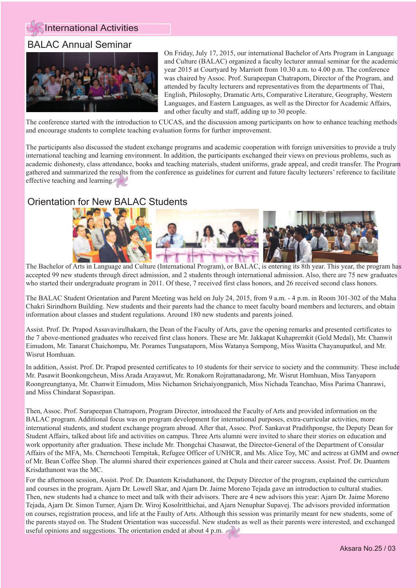

#### BALAC Annual Seminar



On Friday, July 17, 2015, our international Bachelor of Arts Program in Language and Culture (BALAC) organized a faculty lecturer annual seminar for the academic year 2015 at Courtyard by Marriott from 10.30 a.m. to 4.00 p.m. The conference was chaired by Assoc. Prof. Surapeepan Chatraporn, Director of the Program, and attended by faculty lecturers and representatives from the departments of Thai, English, Philosophy, Dramatic Arts, Comparative Literature, Geography, Western Languages, and Eastern Languages, as well as the Director for Academic Affairs, and other faculty and staff, adding up to 30 people.

The conference started with the introduction to CUCAS, and the discussion among participants on how to enhance teaching methods and encourage students to complete teaching evaluation forms for further improvement.

The participants also discussed the student exchange programs and academic cooperation with foreign universities to provide a truly international teaching and learning environment. In addition, the participants exchanged their views on previous problems, such as academic dishonesty, class attendance, books and teaching materials, student uniforms, grade appeal, and credit transfer. The Program gathered and summarized the results from the conference as guidelines for current and future faculty lecturers' reference to facilitate effective teaching and learning.

### Orientation for New BALAC Students



The Bachelor of Arts in Language and Culture (International Program), or BALAC, is entering its 8th year. This year, the program has accepted 99 new students through direct admission, and 2 students through international admission. Also, there are 75 new graduates who started their undergraduate program in 2011. Of these, 7 received first class honors, and 26 received second class honors.

The BALAC Student Orientation and Parent Meeting was held on July 24, 2015, from 9 a.m. - 4 p.m. in Room 301-302 of the Maha Chakri Sirindhorn Building. New students and their parents had the chance to meet faculty board members and lecturers, and obtain information about classes and student regulations. Around 180 new students and parents joined.

Assist. Prof. Dr. Prapod Assavavirulhakarn, the Dean of the Faculty of Arts, gave the opening remarks and presented certificates to the 7 above-mentioned graduates who received first class honors. These are Mr. Jakkapat Kuhapremkit (Gold Medal), Mr. Chanwit Eimudom, Mr. Tanarat Chaichompu, Mr. Porames Tungsataporn, Miss Watanya Sompong, Miss Wasitta Chayanupatkul, and Mr. Wisrut Homhuan.

In addition, Assist. Prof. Dr. Prapod presented certificates to 10 students for their service to society and the community. These include Mr. Pasawit Boonkongcheun, Miss Arada Arayawut, Mr. Ronakorn Rojrattanadarong, Mr. Wisrut Homhuan, Miss Tanyaporn Roongreungtanya, Mr. Chanwit Eimudom, Miss Nichamon Srichaiyongpanich, Miss Nichada Teanchao, Miss Parima Chanrawi, and Miss Chindarat Sopasripan.

Then, Assoc. Prof. Surapeepan Chatraporn, Program Director, introduced the Faculty of Arts and provided information on the BALAC program. Additional focus was on program development for international purposes, extra-curricular activities, more international students, and student exchange program abroad. After that, Assoc. Prof. Sankavat Pradithpongse, the Deputy Dean for Student Affairs, talked about life and activities on campus. Three Arts alumni were invited to share their stories on education and work opportunity after graduation. These include Mr. Thongchai Chasawat, the Director-General of the Department of Consular Affairs of the MFA, Ms. Chernchooti Tempitak, Refugee Officer of UNHCR, and Ms. Alice Toy, MC and actress at GMM and owner of Mr. Bean Coffee Shop. The alumni shared their experiences gained at Chula and their career success. Assist. Prof. Dr. Duantem Krisdathanont was the MC.

For the afternoon session, Assist. Prof. Dr. Duantem Krisdathanont, the Deputy Director of the program, explained the curriculum and courses in the program. Ajarn Dr. Lowell Skar, and Ajarn Dr. Jaime Moreno Tejada gave an introduction to cultural studies. Then, new students had a chance to meet and talk with their advisors. There are 4 new advisors this year: Ajarn Dr. Jaime Moreno Tejada, Ajarn Dr. Simon Turner, Ajarn Dr. Wiroj Kosolritthichai, and Ajarn Nenuphar Supavej. The advisors provided information on courses, registration process, and life at the Faulty of Arts. Although this session was primarily meant for new students, some of the parents stayed on. The Student Orientation was successful. New students as well as their parents were interested, and exchanged useful opinions and suggestions. The orientation ended at about 4 p.m.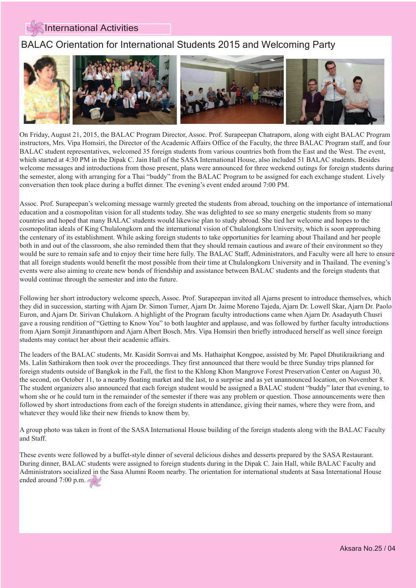#### International Activities

#### $\overline{1}$ BALAC Orientation for International Students 2015 and Welcoming Party



On Friday, August 21, 2015, the BALAC Program Director, Assoc. Prof. Surapeepan Chatraporn, along with eight BALAC Program instructors, Mrs. Vipa Homsiri, the Director of the Academic Affairs Office of the Faculty, the three BALAC Program staff, and four BALAC student representatives, welcomed 35 foreign students from various countries both from the East and the West. The event, which started at 4:30 PM in the Dipak C. Jain Hall of the SASA International House, also included 51 BALAC students. Besides welcome messages and introductions from those present, plans were announced for three weekend outings for foreign students during the semester, along with arranging for a Thai "buddy" from the BALAC Program to be assigned for each exchange student. Lively conversation then took place during a buffet dinner. The evening's event ended around 7:00 PM.

Assoc. Prof. Surapeepan's welcoming message warmly greeted the students from abroad, touching on the importance of international education and a cosmopolitan vision for all students today. She was delighted to see so many energetic students from so many countries and hoped that many BALAC students would likewise plan to study abroad. She tied her welcome and hopes to the cosmopolitan ideals of King Chulalongkorn and the international vision of Chulalongkorn University, which is soon approaching the centenary of its establishment. While asking foreign students to take opportunities for learning about Thailand and her people both in and out of the classroom, she also reminded them that they should remain cautious and aware of their environment so they would be sure to remain safe and to enjoy their time here fully. The BALAC Staff, Administrators, and Faculty were all here to ensure that all foreign students would benefit the most possible from their time at Chulalongkorn University and in Thailand. The evening's events were also aiming to create new bonds of friendship and assistance between BALAC students and the foreign students that would continue through the semester and into the future.

Following her short introductory welcome speech, Assoc. Prof. Surapeepan invited all Ajarns present to introduce themselves, which they did in succession, starting with Ajarn Dr. Simon Turner, Ajarn Dr. Jaime Moreno Tajeda, Ajarn Dr. Lowell Skar, Ajarn Dr. Paolo Euron, and Ajarn Dr. Sirivan Chulakorn. A highlight of the Program faculty introductions came when Ajarn Dr. Asadayuth Chusri gave a rousing rendition of "Getting to Know You" to both laughter and applause, and was followed by further faculty introductions from Ajarn Somjit Jirananthiporn and Ajarn Albert Bosch. Mrs. Vipa Homsiri then briefly introduced herself as well since foreign students may contact her about their academic affairs.

The leaders of the BALAC students, Mr. Kasidit Sornvai and Ms. Hathaiphat Kongpoe, assisted by Mr. Papol Dhutikraikriang and Ms. Lalin Sathirakorn then took over the proceedings. They first announced that there would be three Sunday trips planned for foreign students outside of Bangkok in the Fall, the first to the Khlong Khon Mangrove Forest Preservation Center on August 30, the second, on October 11, to a nearby floating market and the last, to a surprise and as yet unannounced location, on November 8. The student organizers also announced that each foreign student would be assigned a BALAC student "buddy" later that evening, to whom she or he could turn in the remainder of the semester if there was any problem or question. Those announcements were then followed by short introductions from each of the foreign students in attendance, giving their names, where they were from, and whatever they would like their new friends to know them by.

A group photo was taken in front of the SASA International House building of the foreign students along with the BALAC Faculty and Staff.

These events were followed by a buffet-style dinner of several delicious dishes and desserts prepared by the SASA Restaurant. During dinner, BALAC students were assigned to foreign students during in the Dipak C. Jain Hall, while BALAC Faculty and Administrators socialized in the Sasa Alumni Room nearby. The orientation for international students at Sasa International House ended around 7:00 p.m.